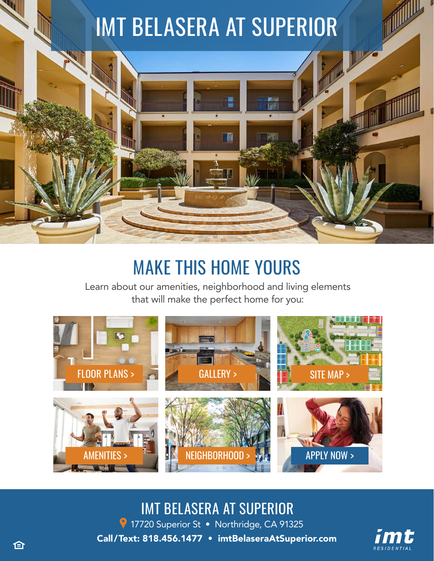# IMT BELASERA AT SUPERIOR

# MAKE THIS HOME YOURS

Learn about our amenities, neighborhood and living elements that will make the perfect home for you:



### IMT BELASERA AT SUPERIOR

9 17720 Superior St · Northridge, CA 91325 Call/Text: 818.456.1477 • [imtBelaseraAtSuperior.com](https://imtresidential.com/properties/imt-belasera-at-superior?utm_source=website&utm_medium=ebrochure)